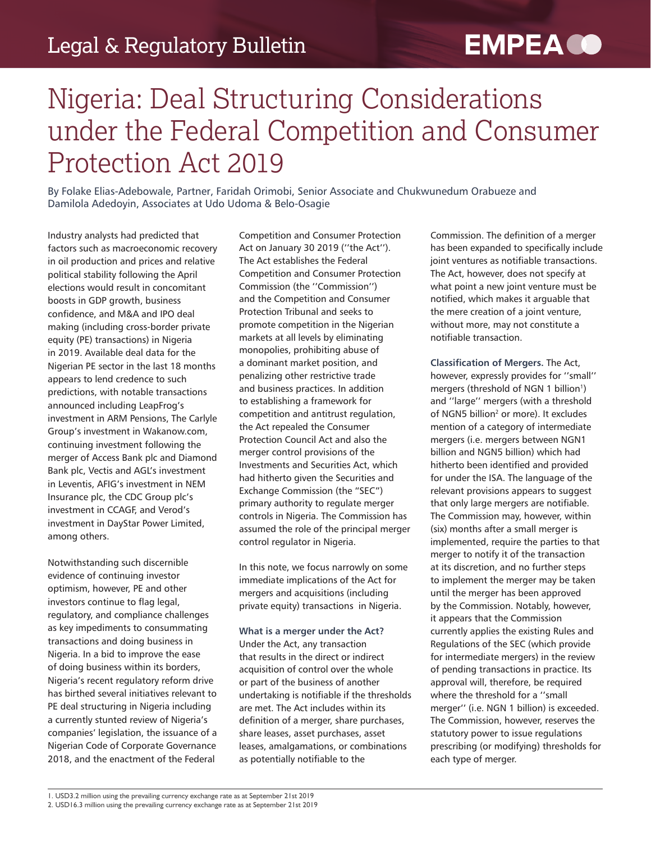# **EMPEA O**

## Nigeria: Deal Structuring Considerations under the Federal Competition and Consumer Protection Act 2019

By Folake Elias-Adebowale, Partner, Faridah Orimobi, Senior Associate and Chukwunedum Orabueze and Damilola Adedoyin, Associates at Udo Udoma & Belo-Osagie

Industry analysts had predicted that factors such as macroeconomic recovery in oil production and prices and relative political stability following the April elections would result in concomitant boosts in GDP growth, business confidence, and M&A and IPO deal making (including cross-border private equity (PE) transactions) in Nigeria in 2019. Available deal data for the Nigerian PE sector in the last 18 months appears to lend credence to such predictions, with notable transactions announced including LeapFrog's investment in ARM Pensions, The Carlyle Group's investment in Wakanow.com, continuing investment following the merger of Access Bank plc and Diamond Bank plc, Vectis and AGL's investment in Leventis, AFIG's investment in NEM Insurance plc, the CDC Group plc's investment in CCAGF, and Verod's investment in DayStar Power Limited, among others.

Notwithstanding such discernible evidence of continuing investor optimism, however, PE and other investors continue to flag legal, regulatory, and compliance challenges as key impediments to consummating transactions and doing business in Nigeria. In a bid to improve the ease of doing business within its borders, Nigeria's recent regulatory reform drive has birthed several initiatives relevant to PE deal structuring in Nigeria including a currently stunted review of Nigeria's companies' legislation, the issuance of a Nigerian Code of Corporate Governance 2018, and the enactment of the Federal

Competition and Consumer Protection Act on January 30 2019 (''the Act''). The Act establishes the Federal Competition and Consumer Protection Commission (the ''Commission'') and the Competition and Consumer Protection Tribunal and seeks to promote competition in the Nigerian markets at all levels by eliminating monopolies, prohibiting abuse of a dominant market position, and penalizing other restrictive trade and business practices. In addition to establishing a framework for competition and antitrust regulation, the Act repealed the Consumer Protection Council Act and also the merger control provisions of the Investments and Securities Act, which had hitherto given the Securities and Exchange Commission (the "SEC") primary authority to regulate merger controls in Nigeria. The Commission has assumed the role of the principal merger control regulator in Nigeria.

In this note, we focus narrowly on some immediate implications of the Act for mergers and acquisitions (including private equity) transactions in Nigeria.

**What is a merger under the Act?**  Under the Act, any transaction that results in the direct or indirect acquisition of control over the whole or part of the business of another undertaking is notifiable if the thresholds are met. The Act includes within its definition of a merger, share purchases, share leases, asset purchases, asset leases, amalgamations, or combinations as potentially notifiable to the

Commission. The definition of a merger has been expanded to specifically include joint ventures as notifiable transactions. The Act, however, does not specify at what point a new joint venture must be notified, which makes it arguable that the mere creation of a joint venture, without more, may not constitute a notifiable transaction.

**Classification of Mergers.** The Act, however, expressly provides for ''small'' mergers (threshold of NGN 1 billion<sup>1</sup>) and ''large'' mergers (with a threshold of NGN5 billion<sup>2</sup> or more). It excludes mention of a category of intermediate mergers (i.e. mergers between NGN1 billion and NGN5 billion) which had hitherto been identified and provided for under the ISA. The language of the relevant provisions appears to suggest that only large mergers are notifiable. The Commission may, however, within (six) months after a small merger is implemented, require the parties to that merger to notify it of the transaction at its discretion, and no further steps to implement the merger may be taken until the merger has been approved by the Commission. Notably, however, it appears that the Commission currently applies the existing Rules and Regulations of the SEC (which provide for intermediate mergers) in the review of pending transactions in practice. Its approval will, therefore, be required where the threshold for a ''small merger'' (i.e. NGN 1 billion) is exceeded. The Commission, however, reserves the statutory power to issue regulations prescribing (or modifying) thresholds for each type of merger.

<sup>1.</sup> USD3.2 million using the prevailing currency exchange rate as at September 21st 2019

<sup>2.</sup> USD16.3 million using the prevailing currency exchange rate as at September 21st 2019